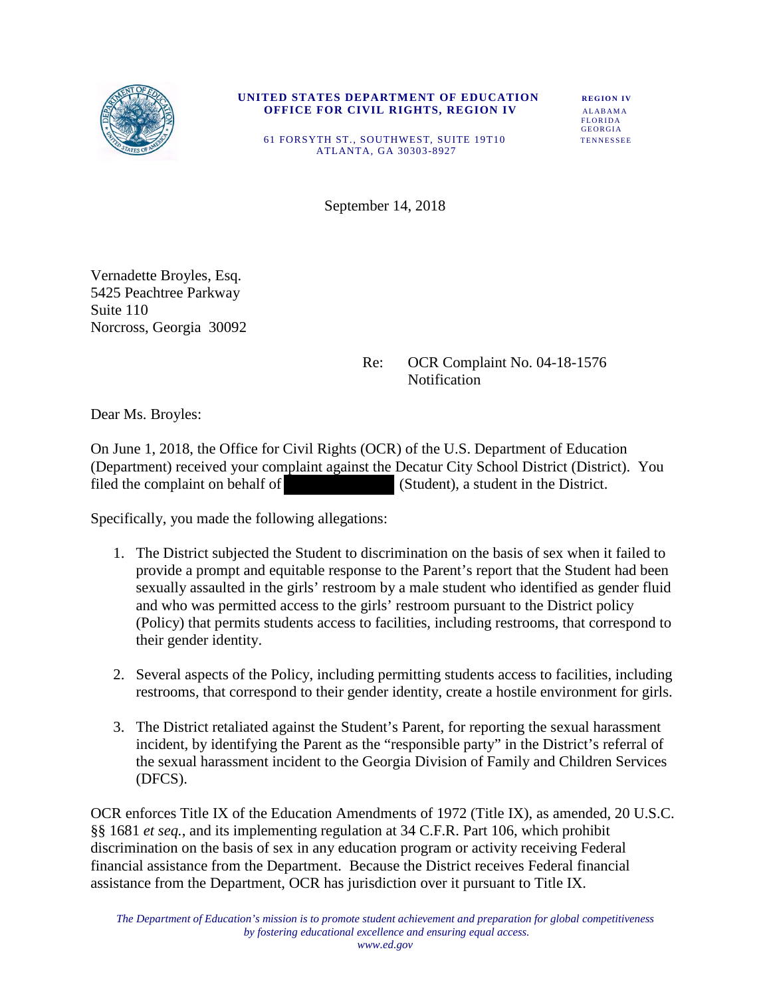

## **UNITED STATES DEPARTMENT OF EDUCATION** REGION IV  **OFFICE FOR CIVIL RIGHTS, REGION IV ALABAMA FLORIDA FLORIDA** GEORGIA

 61 FORSYTH ST., SOUTHWEST, SUITE 19T10 TENNESSEE ATLANTA, GA 30303-8927

September 14, 2018

Vernadette Broyles, Esq. 5425 Peachtree Parkway Suite 110 Norcross, Georgia 30092

## Re: OCR Complaint No. 04-18-1576 **Notification**

Dear Ms. Broyles:

On June 1, 2018, the Office for Civil Rights (OCR) of the U.S. Department of Education (Department) received your complaint against the Decatur City School District (District). You filed the complaint on behalf of (Student), a student in the District.

Specifically, you made the following allegations:

- 1. The District subjected the Student to discrimination on the basis of sex when it failed to provide a prompt and equitable response to the Parent's report that the Student had been sexually assaulted in the girls' restroom by a male student who identified as gender fluid and who was permitted access to the girls' restroom pursuant to the District policy (Policy) that permits students access to facilities, including restrooms, that correspond to their gender identity.
- 2. Several aspects of the Policy, including permitting students access to facilities, including restrooms, that correspond to their gender identity, create a hostile environment for girls.
- 3. The District retaliated against the Student's Parent, for reporting the sexual harassment incident, by identifying the Parent as the "responsible party" in the District's referral of the sexual harassment incident to the Georgia Division of Family and Children Services (DFCS).

OCR enforces Title IX of the Education Amendments of 1972 (Title IX), as amended, 20 U.S.C. §§ 1681 *et seq.*, and its implementing regulation at 34 C.F.R. Part 106, which prohibit discrimination on the basis of sex in any education program or activity receiving Federal financial assistance from the Department. Because the District receives Federal financial assistance from the Department, OCR has jurisdiction over it pursuant to Title IX.